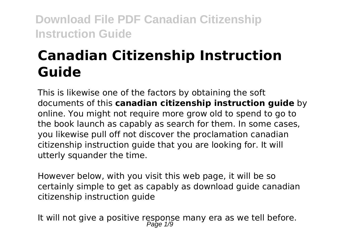# **Canadian Citizenship Instruction Guide**

This is likewise one of the factors by obtaining the soft documents of this **canadian citizenship instruction guide** by online. You might not require more grow old to spend to go to the book launch as capably as search for them. In some cases, you likewise pull off not discover the proclamation canadian citizenship instruction guide that you are looking for. It will utterly squander the time.

However below, with you visit this web page, it will be so certainly simple to get as capably as download guide canadian citizenship instruction guide

It will not give a positive response many era as we tell before.<br> $P_{\text{age 1/9}}$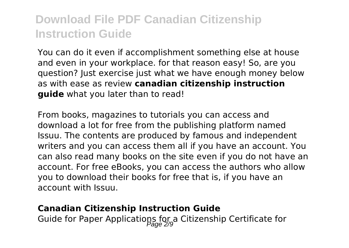You can do it even if accomplishment something else at house and even in your workplace. for that reason easy! So, are you question? Just exercise just what we have enough money below as with ease as review **canadian citizenship instruction guide** what you later than to read!

From books, magazines to tutorials you can access and download a lot for free from the publishing platform named Issuu. The contents are produced by famous and independent writers and you can access them all if you have an account. You can also read many books on the site even if you do not have an account. For free eBooks, you can access the authors who allow you to download their books for free that is, if you have an account with Issuu.

#### **Canadian Citizenship Instruction Guide**

Guide for Paper Applications for a Citizenship Certificate for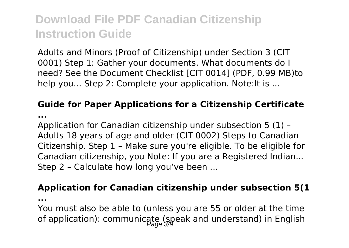Adults and Minors (Proof of Citizenship) under Section 3 (CIT 0001) Step 1: Gather your documents. What documents do I need? See the Document Checklist [CIT 0014] (PDF, 0.99 MB)to help you... Step 2: Complete your application. Note: It is ...

### **Guide for Paper Applications for a Citizenship Certificate**

**...**

Application for Canadian citizenship under subsection 5 (1) – Adults 18 years of age and older (CIT 0002) Steps to Canadian Citizenship. Step 1 – Make sure you're eligible. To be eligible for Canadian citizenship, you Note: If you are a Registered Indian... Step 2 – Calculate how long you've been ...

#### **Application for Canadian citizenship under subsection 5(1**

**...**

You must also be able to (unless you are 55 or older at the time of application): communicate (speak and understand) in English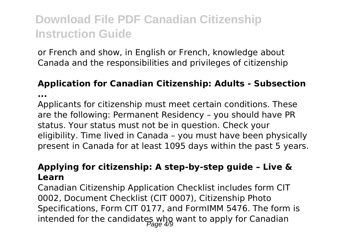or French and show, in English or French, knowledge about Canada and the responsibilities and privileges of citizenship

### **Application for Canadian Citizenship: Adults - Subsection ...**

Applicants for citizenship must meet certain conditions. These are the following: Permanent Residency – you should have PR status. Your status must not be in question. Check your eligibility. Time lived in Canada – you must have been physically present in Canada for at least 1095 days within the past 5 years.

#### **Applying for citizenship: A step-by-step guide – Live & Learn**

Canadian Citizenship Application Checklist includes form CIT 0002, Document Checklist (CIT 0007), Citizenship Photo Specifications, Form CIT 0177, and FormIMM 5476. The form is intended for the candidates who want to apply for Canadian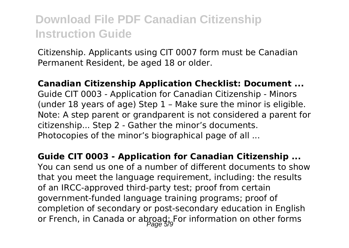Citizenship. Applicants using CIT 0007 form must be Canadian Permanent Resident, be aged 18 or older.

**Canadian Citizenship Application Checklist: Document ...** Guide CIT 0003 - Application for Canadian Citizenship - Minors (under 18 years of age) Step 1 – Make sure the minor is eligible. Note: A step parent or grandparent is not considered a parent for citizenship... Step 2 - Gather the minor's documents. Photocopies of the minor's biographical page of all ...

**Guide CIT 0003 - Application for Canadian Citizenship ...** You can send us one of a number of different documents to show that you meet the language requirement, including: the results of an IRCC-approved third-party test; proof from certain government-funded language training programs; proof of completion of secondary or post-secondary education in English or French, in Canada or abroad; For information on other forms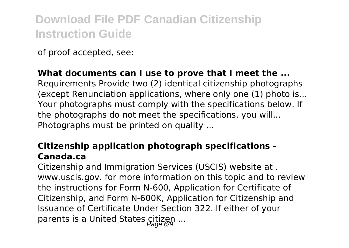of proof accepted, see:

### **What documents can I use to prove that I meet the ...**

Requirements Provide two (2) identical citizenship photographs (except Renunciation applications, where only one (1) photo is... Your photographs must comply with the specifications below. If the photographs do not meet the specifications, you will... Photographs must be printed on quality ...

### **Citizenship application photograph specifications - Canada.ca**

Citizenship and Immigration Services (USCIS) website at . www.uscis.gov. for more information on this topic and to review the instructions for Form N-600, Application for Certificate of Citizenship, and Form N-600K, Application for Citizenship and Issuance of Certificate Under Section 322. If either of your parents is a United States citizen ...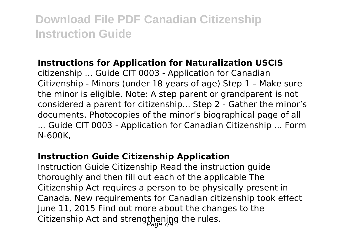#### **Instructions for Application for Naturalization USCIS**

citizenship ... Guide CIT 0003 - Application for Canadian Citizenship - Minors (under 18 years of age) Step 1 – Make sure the minor is eligible. Note: A step parent or grandparent is not considered a parent for citizenship... Step 2 - Gather the minor's documents. Photocopies of the minor's biographical page of all ... Guide CIT 0003 - Application for Canadian Citizenship ... Form N-600K,

#### **Instruction Guide Citizenship Application**

Instruction Guide Citizenship Read the instruction guide thoroughly and then fill out each of the applicable The Citizenship Act requires a person to be physically present in Canada. New requirements for Canadian citizenship took effect June 11, 2015 Find out more about the changes to the Citizenship Act and strengthening the rules.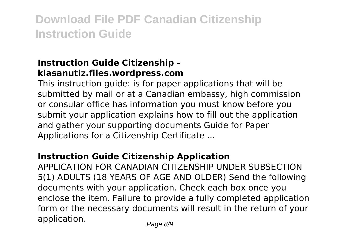### **Instruction Guide Citizenship klasanutiz.files.wordpress.com**

This instruction guide: is for paper applications that will be submitted by mail or at a Canadian embassy, high commission or consular office has information you must know before you submit your application explains how to fill out the application and gather your supporting documents Guide for Paper Applications for a Citizenship Certificate ...

### **Instruction Guide Citizenship Application**

APPLICATION FOR CANADIAN CITIZENSHIP UNDER SUBSECTION 5(1) ADULTS (18 YEARS OF AGE AND OLDER) Send the following documents with your application. Check each box once you enclose the item. Failure to provide a fully completed application form or the necessary documents will result in the return of your application.  $P_{\text{face } A/\text{S}}$